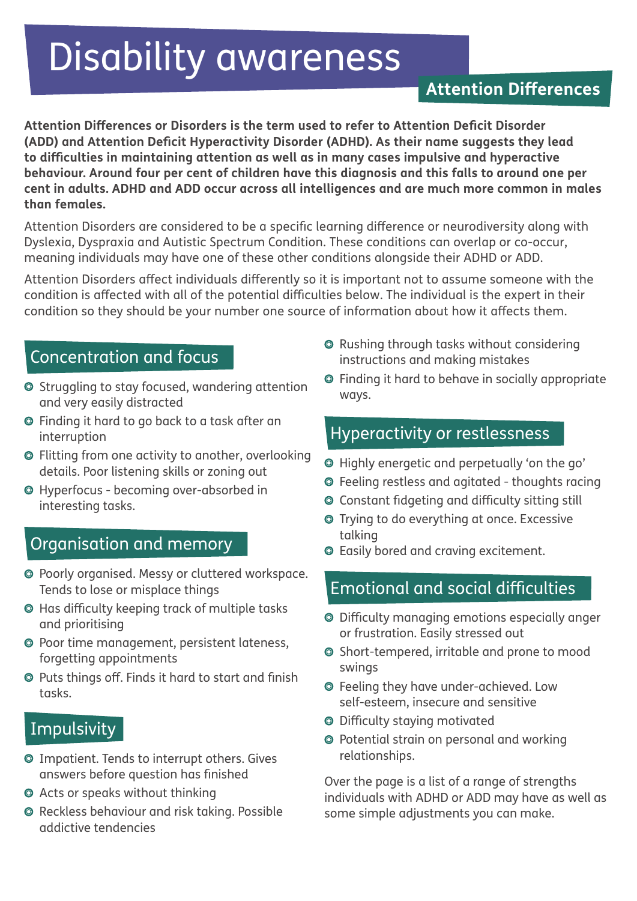# Disability awareness

# **Attention Differences**

**Attention Differences or Disorders is the term used to refer to Attention Deficit Disorder (ADD) and Attention Deficit Hyperactivity Disorder (ADHD). As their name suggests they lead to difficulties in maintaining attention as well as in many cases impulsive and hyperactive behaviour. Around four per cent of children have this diagnosis and this falls to around one per cent in adults. ADHD and ADD occur across all intelligences and are much more common in males than females.** 

Attention Disorders are considered to be a specific learning difference or neurodiversity along with Dyslexia, Dyspraxia and Autistic Spectrum Condition. These conditions can overlap or co-occur, meaning individuals may have one of these other conditions alongside their ADHD or ADD.

Attention Disorders affect individuals differently so it is important not to assume someone with the condition is affected with all of the potential difficulties below. The individual is the expert in their condition so they should be your number one source of information about how it affects them.

## Concentration and focus

- Struggling to stay focused, wandering attention and very easily distracted
- Finding it hard to go back to a task after an interruption
- Flitting from one activity to another, overlooking details. Poor listening skills or zoning out
- Hyperfocus becoming over-absorbed in interesting tasks.

#### Organisation and memory

- Poorly organised. Messy or cluttered workspace. Tends to lose or misplace things
- Has difficulty keeping track of multiple tasks and prioritising
- Poor time management, persistent lateness, forgetting appointments
- Puts things off. Finds it hard to start and finish tasks.

## **Impulsivity**

- Impatient. Tends to interrupt others. Gives answers before question has finished
- Acts or speaks without thinking
- Reckless behaviour and risk taking. Possible addictive tendencies
- **O** Rushing through tasks without considering instructions and making mistakes
- Finding it hard to behave in socially appropriate ways.

## Hyperactivity or restlessness

- Highly energetic and perpetually 'on the go'
- Feeling restless and agitated thoughts racing
- Constant fidgeting and difficulty sitting still
- Trying to do everything at once. Excessive talking
- Easily bored and craving excitement.

#### Emotional and social difficulties

- Difficulty managing emotions especially anger or frustration. Easily stressed out
- Short-tempered, irritable and prone to mood swings
- Feeling they have under-achieved. Low self-esteem, insecure and sensitive
- Difficulty staying motivated
- Potential strain on personal and working relationships.

Over the page is a list of a range of strengths individuals with ADHD or ADD may have as well as some simple adjustments you can make.